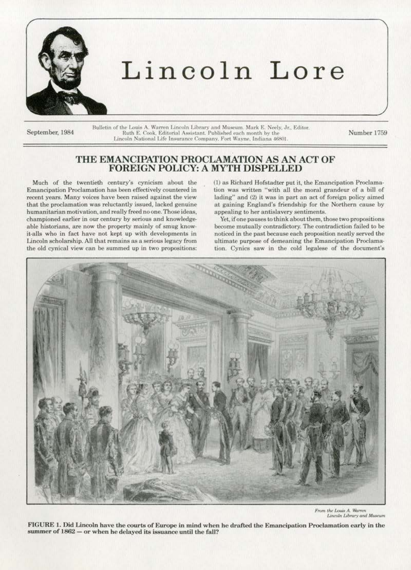

## Lincoln Lore

September, 1984

Bulletin of the Louis A. Warren Lincoln Library and Museum. Mark E. Neely, Jr., Editor.<br>Ruth E. Cook, Editorial Assistant. Published each month by the Lincoln National Life Insurance Company, Fort Wayne, Indiana 46801

Number 1759

## THE EMANCIPATION PROCLAMATION AS AN ACT OF FOREIGN POLICY: A MYTH DISPELLED

Much of the twentieth century's cynicism about the Emancipation Proclamation has been effectively countered in recent years. Many voices have been raised against the view that the proclamation was reluctantly issued, lacked genuine humanitarian motivation, and really freed no one. Those ideas, championed earlier in our century by serious and knowledgeable historians, are now the property mainly of smug knowit-alls who in fact have not kept up with developments in Lincoln scholarship. All that remains as a serious legacy from the old cynical view can be summed up in two propositions: (1) as Richard Hofstadter put it, the Emancipation Proclamation was written "with all the moral grandeur of a bill of lading" and (2) it was in part an act of foreign policy aimed at gaining England's friendship for the Northern cause by appealing to her antislavery sentiments.

Yet, if one pauses to think about them, those two propositions become mutually contradictory. The contradiction failed to be noticed in the past because each proposition neatly served the ultimate purpose of demeaning the Emancipation Proclamation. Cynics saw in the cold legalese of the document's



From the Louis A. Warren<br>Lincoln Library and Museum

FIGURE 1. Did Lincoln have the courts of Europe in mind when he drafted the Emancipation Proclamation early in the summer of 1862 - or when he delayed its issuance until the fall?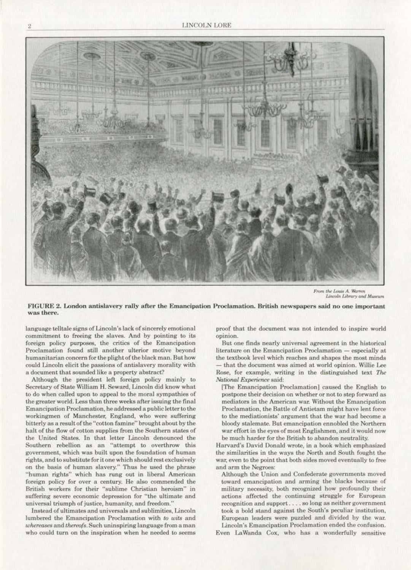

From the Louis A. Warren *Lincoln Library* and Museum

FIGURE 2. London antislavery rally after the Emancipation Proclamation. British newspapers said no one important was there.

language telltale signs of Lincoln's Jack of sincerely emotional commitment to freeing the slaves. And by pointing to its foreign policy purposes, the critics of the Emancipation Proclamation found still another ulterior motive beyond humanitarian concern for the plight of the black man. But how could Lincoln elicit the passions of antislavery morality with a document that sounded like a property abstract?

Although the president left foreign policy mainly to Secretary of State William H. Seward. Lincoln did know what to do when called upon to appeal to the moral sympathies of the greater world. Less than three weeks after issuing the final Emancipation Proclamation, he addressed a public letter to the workingmen of Manchester, England, who were suffering bitterly as a result of the "cotton famine'' brought about by the halt of the flow of cotton supplies from the Southern states of the United Statea. In that Jetter Lincoln denounced the Southern rebellion as an "attempt to overthrow this government, which was built upon the foundation of human rights, and to substitute for it one which should rest exclusively on the basis of human slavery." Thus he used the phrase "human rights" which has rung out in liberal American foreign palicy for over a century. He also commended the British workers for their "sublime Christian heroism" in suffering severe economic depression for "the ultimate and universal triumph of justice, humanity. and freedom."

Instead of ultimates and universals and sublimities, Lincoln lumbered the Emancipation Proclamation with to wits and *whereases* and *thereofs*. Such uninspiring language from a man who could turn on the inspiration when he needed to seems

proof that the document was not intended to inspire world opinion.

But one finds nearly universal agreement in the historical literature on the Emancipation Proclamation - especially at the textbook level which reaches and shapes the most minds - that the document was aimed at world opinion. Willie Lee Rose, for example, writing in the distinguished text The *National Experience* said:

[The Emancipation Proclamation] caused the English to postpone their decision on whether or not to step forward as mediators *in* the American war. Without the Emancipation Proclamation, the Battle of Antietam might have lent force to the mediationists' argument that the war had become a bloody stalemate. But emancipation ennobled the Northern war effort in the eyes of most Englishmen, and it would now be much harder for the British to abandon neutrality.

Harvard's David Donald wrote, in a book which emphasized the similarities in the ways the North and South fought the war. even to the point that both sides moved eventually to free and arm the Negroes:

Although the Union and Confederate governments moved toward emancipation and arming the blacks because of military necessity, both recognized how profoundJy their actions affected the continuing struggle for European recognition and support .... so long as neither government took a bold stand against the South's peculiar institution, European leaders were puzzled and divided by the war. Lincoln's Emancipation Proclamation ended the confusion.

Even La Wanda Cox, who has a wonderfully sensitive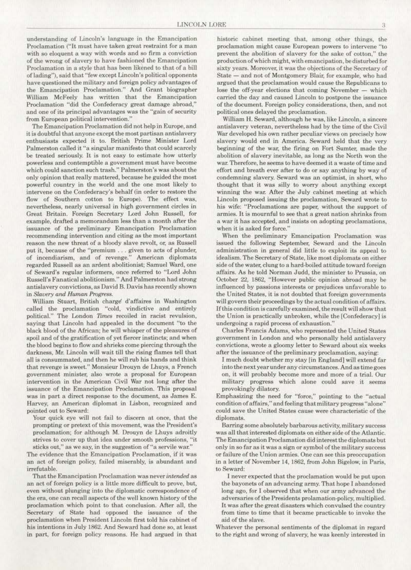understanding of Lincoln's language in the Emancipation Proclamation ("It must have taken great restraint for a man with so eloquent a way with words and so firm a conviction of the wrong of slavery to have fashioned the Emancipation Proclamation in a style that has been likened to that of a bill of lading"), said that "few except Lincoln's political opponents have questioned the military and foreign policy advantages of the Emancipation Proclamation.'' And Grant. biographer William McFeely has written that the Emancipation Proclamation "did the Confederacy great damage abroad," and one of its principal advantages was the "gain of security from European political intervention."

The Emancipation Proclamation did not help in Europe, and it is doubtful that anyone except the most partisan antislavery enthusiasts expected it to. British Prime Minister Lord Palmerston called it "a singular manifesto that could scarcely be treated seriously. It is not easy to estimate how utterly powerless and contemptible a government must have become which could sanction such trash." Palmerston's was about the only opinion that really mattered. because he guided the most powerful country in the world and the one most likely to intervene on the Confederacy's behalf (in order to restore the flow of Southern cotton to Europe). The effect was, nevertheless, nearly universal in high government circles in Great Britain. Foreign Secretary l.ord John Russell. for example, drafted a memorandum less than a month after the issuance of the preliminary Emancipation Proclamation recommending intervention and citing as the most important reason the new threat of a bloody slave revolt., or, as Russell put it, because of the "premium . . . given to acts of plunder, of incendiarism, and of revenge." American diplomats regarded Russell as an ardent abolitionist; Samuel Ward, one of Seward's regular informers, once referred to "Lord John Russell's Fanatical abolitionism." And Palmerston had strong antislavery convictions, as David B. Davis has recently shown in Slavery and Human Progress.

William Stuart, British charge d'affaires in Washington called the proclamation "cold, vindictive and entirely politicaL" The London *'limes* recoiled in racist revulsion, saying that Lincoln had appealed in the document "to the black blood of the African; he will whisper of the pleasures of spoil and of the gratification of yet fiercer instincts; and when the blood begins to flow and shrieks come piercing through the darkness. Mr. Lincoln will wait till the rising flames tell that aU is consummated, and then he will rub his hands and think that revenge is sweet." Monsieur Drouyn de Lhuys, a French government minister, also wrote a proposal for European intervention in the American Civil War not long after the issuance of the Emancipation Proclamation. This proposal was in part a direct response to the document. as James E. Harvey, an American diplomat in Lisbon. recognized and pointed out to Seward:

Your quick eye will not fail to discern at once. that the prompting or pretext of this movement, was the President's proclamation; for although M. Drouyn de Lhuys adroitly strives to cover up that idea under smooth professions, "it. sticks out," as we say. in the suggestion of"a servile war."

The evidence that the Emancipation Proclamation, if it was an act of foreign policy, failed miserably, is abundant and irrefutable.

That the Emancipation Proclamation was never *intended* as an act of foreign policy is a little more difficult to prove, but, even without plunging into the diplomatic correspondence of the era. one can recall aspects of the well known history of the proclamation which point to that conclusion. Arter all, the Secretary of State had opposed the issuance of the proclamation when President Lincoln first told his cabinet of his intentions in July 1862. And Seward had done so, at least in part, for foreign policy reasons. He had argued in that historic cabinet meeting that, among other things, the proclamation might cause European powers to intervene "to prevent the abolition of slavery for the sake of cotton," the production of which might, with emancipation, be disturbed for sixty years. Moreover. it was the objections of the Secretary of State - and not of Montgomery Blair, for example, who had argued that the proclamation would cause the Republicans to lose the off-year elections that coming November - which carried the day and caused Lincoln to postpone the issuance of the document. Foreign policy considerations, then, and not political ones delayed the proclamation.

William H. Seward. although he was, like Lincoln, a sincere antislavery veteran, nevertheless had by the time of the Civil War developed his own rather peculiar views on precisely how slavery would end in America. Seward held that the very beginning of the war, the firing on Fort Sumter, made the abolition of slavery inevitable. as long as the North won the war. Therefore. he seems to have deemed it a waste of time and effort and breath ever after to do *or* say anything by way or condemning slavery. Seward was an optimist, in short, who thought that it was silly to worry about anything except winning the war. After the July cabinet meeting at which Lincoln proposed issuing the proclamation, Seward wrote to his wife: "Proclamations are paper, without the support of armies. It is mournful to see that a great nation shrinks from a war it has accepted, and insists on adopting proclamations, when it is asked for force."

When the preliminary Emancipation Proclamation was issued the following September, Seward and the Lincoln administration in general did little to exploit its appeal to idealism. The Secretary of State, like most diplomats on either side of the water, clung to a hard-boiled attitude toward foreign affairs. *As* he told Norman Judd. the minister to Prussia, on October 22, 1862. "However public opinion abroad may be influenced by passions interests or prejudices unfavorable to the United States, it is not doubted that foreign governments will govern their proceedings by the actual condition of affairs. If this condition is carefully examined, the result will show that the Union is practically unbroken, while the [Confederacy] is undergoing a rapid process of exhaustion."

Charles Francis Adams, who represented the United States government in london and who personally held antislavery convictions, wrote a gloomy letter to Seward about six weeks after the issuance of the preliminary proclamation. saying:

I much doubt whether my stay [in England] will extend far into the next year under any circumstances. And as time goes on, it will probably become more and more of a trial. Our military progress which alone could save it seems provokingly dilatory.

Emphasizing the need for "force," pointing to the "actual condition of affairs," and feeling that military progress "alone" could save the United States cause were characteristic of the diplomats.

Barring some absolutely barbarous activity, military success was all that interested diplomats on either side of the Atlantic. The Emancipation Proclamation did interest the diplomats but only in so far as it was a sign or symbol of the military success or failure of the Union armies. One can see this preoccupation in a Jetter of November 14, 1862. from John Bigelow, in Paris, to Seward:

I never expected that the proclamation would be put upon the bayonets of an advancing army. That hope I abandoned long ago, for I observed that when our army advanced the adversaries of the Presidents prolamation·policy. multiplied. It was after the great disasters which convulsed the country from time to time that it became practicable to invoke the aid of the slave.

Whatever the personal sentiments of the diplomat in regard to the right and wrong of slavery, he was keenly interested in